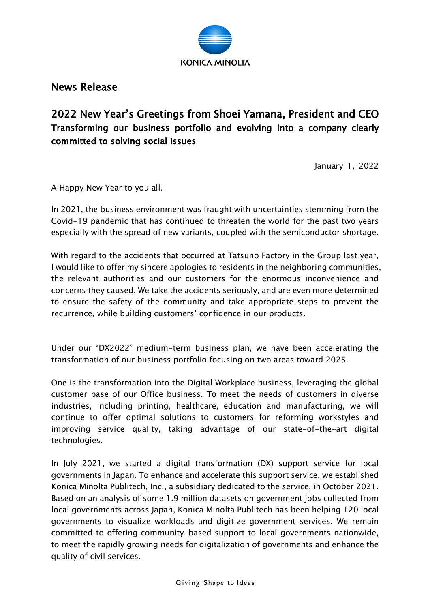

News Release

2022 New Year's Greetings from Shoei Yamana, President and CEO Transforming our business portfolio and evolving into a company clearly committed to solving social issues

January 1, 2022

A Happy New Year to you all.

In 2021, the business environment was fraught with uncertainties stemming from the Covid-19 pandemic that has continued to threaten the world for the past two years especially with the spread of new variants, coupled with the semiconductor shortage.

With regard to the accidents that occurred at Tatsuno Factory in the Group last year, I would like to offer my sincere apologies to residents in the neighboring communities, the relevant authorities and our customers for the enormous inconvenience and concerns they caused. We take the accidents seriously, and are even more determined to ensure the safety of the community and take appropriate steps to prevent the recurrence, while building customers' confidence in our products.

Under our "DX2022" medium-term business plan, we have been accelerating the transformation of our business portfolio focusing on two areas toward 2025.

One is the transformation into the Digital Workplace business, leveraging the global customer base of our Office business. To meet the needs of customers in diverse industries, including printing, healthcare, education and manufacturing, we will continue to offer optimal solutions to customers for reforming workstyles and improving service quality, taking advantage of our state-of-the-art digital technologies.

In July 2021, we started a digital transformation (DX) support service for local governments in Japan. To enhance and accelerate this support service, we established Konica Minolta Publitech, Inc., a subsidiary dedicated to the service, in October 2021. Based on an analysis of some 1.9 million datasets on government jobs collected from local governments across Japan, Konica Minolta Publitech has been helping 120 local governments to visualize workloads and digitize government services. We remain committed to offering community-based support to local governments nationwide, to meet the rapidly growing needs for digitalization of governments and enhance the quality of civil services.